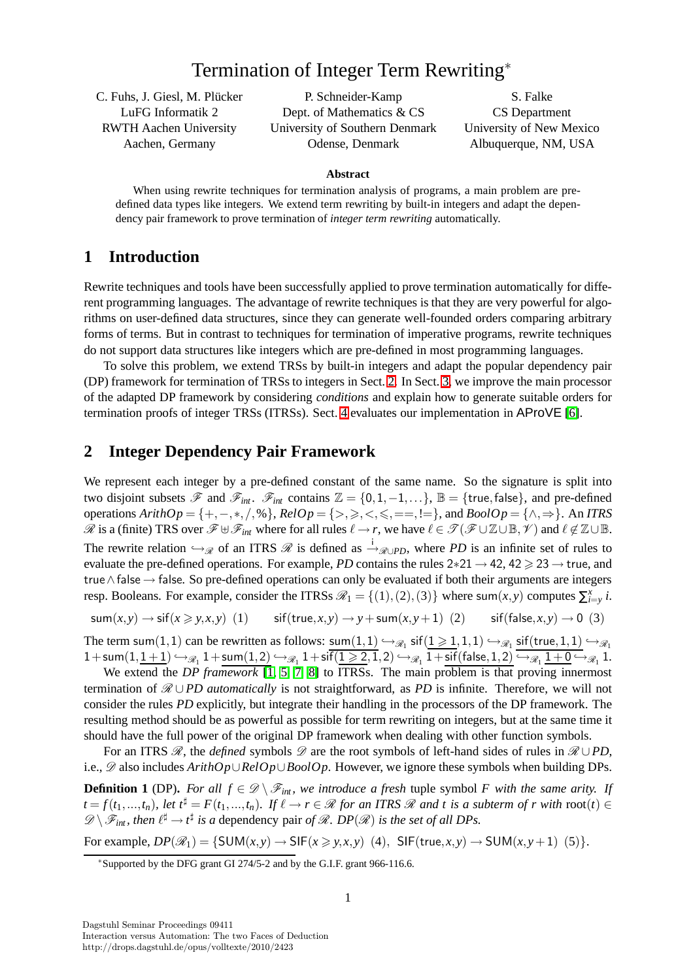# Termination of Integer Term Rewriting<sup>∗</sup>

C. Fuhs, J. Giesl, M. Plücker LuFG Informatik 2 RWTH Aachen University Aachen, Germany

P. Schneider-Kamp Dept. of Mathematics & CS University of Southern Denmark Odense, Denmark

S. Falke CS Department University of New Mexico Albuquerque, NM, USA

#### **Abstract**

When using rewrite techniques for termination analysis of programs, a main problem are predefined data types like integers. We extend term rewriting by built-in integers and adapt the dependency pair framework to prove termination of *integer term rewriting* automatically.

### **1 Introduction**

Rewrite techniques and tools have been successfully applied to prove termination automatically for different programming languages. The advantage of rewrite techniques is that they are very powerful for algorithms on user-defined data structures, since they can generate well-founded orders comparing arbitrary forms of terms. But in contrast to techniques for termination of imperative programs, rewrite techniques do not support data structures like integers which are pre-defined in most programming languages.

To solve this problem, we extend TRSs by built-in integers and adapt the popular dependency pair (DP) framework for termination of TRSs to integers in Sect. [2.](#page-0-0) In Sect. [3,](#page-2-0) we improve the main processor of the adapted DP framework by considering *conditions* and explain how to generate suitable orders for termination proofs of integer TRSs (ITRSs). Sect. [4](#page-3-0) evaluates our implementation in AProVE [\[6\]](#page-3-1).

## <span id="page-0-0"></span>**2 Integer Dependency Pair Framework**

We represent each integer by a pre-defined constant of the same name. So the signature is split into two disjoint subsets  $\mathscr F$  and  $\mathscr F_{int}$ .  $\mathscr F_{int}$  contains  $\mathbb Z = \{0,1,-1,\ldots\}$ ,  $\mathbb B = \{\text{true},\text{false}\}$ , and pre-defined operations *ArithOp* = {+,−,∗,/,%}, *RelOp* = {>,>,<,6,==,!=}, and *BoolOp* = {∧,⇒}. An *ITRS*  $\mathscr R$  is a (finite) TRS over  $\mathscr F \cup \mathscr F_{int}$  where for all rules  $\ell \to r$ , we have  $\ell \in \mathscr T(\mathscr F \cup \mathbb Z \cup \mathbb B, \mathscr V)$  and  $\ell \notin \mathbb Z \cup \mathbb B$ . The rewrite relation  $\hookrightarrow_{\mathscr{R}}$  of an ITRS  $\mathscr{R}$  is defined as  $\stackrel{i}{\rightarrow}_{\mathscr{R}\cup PD}$ , where *PD* is an infinite set of rules to evaluate the pre-defined operations. For example, *PD* contains the rules 2∗21 → 42, 42 > 23 → true, and true∧false → false. So pre-defined operations can only be evaluated if both their arguments are integers resp. Booleans. For example, consider the ITRSs  $\mathcal{R}_1 = \{(1), (2), (3)\}$  where sum $(x, y)$  computes  $\sum_{i=y}^{x} i$ .

 $\text{sum}(x, y) \rightarrow \text{sif}(x \geq y, x, y)$  (1)  $\text{sif}(\text{true}, x, y) \rightarrow y + \text{sum}(x, y + 1)$  (2)  $\text{sif}(\text{false}, x, y) \rightarrow 0$  (3)

The term sum $(1,1)$  can be rewritten as follows:  $\text{sum}(1,1) \hookrightarrow_{\mathscr{R}_1} \text{sf}(1 \geq 1,1,1) \hookrightarrow_{\mathscr{R}_1} \text{sf(true},1,1) \hookrightarrow_{\mathscr{R}_1}$  $1+\operatorname{\mathsf{sum}}(1,\underline{1+1})\hookrightarrow_{\mathscr R_1}1+\operatorname{\mathsf{sum}}(1,2)\hookrightarrow_{\mathscr R_1}1+\operatorname{sif}(\underline{1\geqslant 2},1,2)\hookrightarrow_{\mathscr R_1}1+\operatorname{sif}(\mathsf{false},1,2)\hookrightarrow_{\mathscr R_1}1+\underline{0}\hookrightarrow_{\mathscr R_1}1.$ 

We extend the *DP framework* [\[1,](#page-3-2) [5,](#page-3-3) [7,](#page-3-4) [8\]](#page-3-5) to ITRSs. The main problem is that proving innermost termination of  $\mathcal{R} \cup PD$  *automatically* is not straightforward, as *PD* is infinite. Therefore, we will not consider the rules *PD* explicitly, but integrate their handling in the processors of the DP framework. The resulting method should be as powerful as possible for term rewriting on integers, but at the same time it should have the full power of the original DP framework when dealing with other function symbols.

For an ITRS  $\mathcal{R}$ , the *defined* symbols  $\mathcal{D}$  are the root symbols of left-hand sides of rules in  $\mathcal{R} \cup PD$ , i.e., D also includes *ArithOp*∪*RelOp*∪*BoolOp*. However, we ignore these symbols when building DPs.

**Definition 1** (DP). For all  $f \in \mathcal{D} \setminus \mathcal{F}_{int}$ , we introduce a fresh tuple symbol *F* with the same arity. If  $t = f(t_1, ..., t_n)$ , let  $t^{\sharp} = F(t_1, ..., t_n)$ . If  $\ell \to r \in \mathcal{R}$  for an ITRS  $\mathcal{R}$  and t is a subterm of r with root(t)  $\in$  $\mathscr{D}\setminus\mathscr{F}_{int}$ , then  $\ell^{\sharp}\to t^{\sharp}$  is a dependency pair of  $\mathscr{R}$ . DP( $\mathscr{R}$ ) is the set of all DPs.

For example,  $DP(\mathscr{R}_1) = \{SUM(x, y) \rightarrow$  SIF $(x \geq y, x, y)$  (4), SIF(true,  $x, y$ )  $\rightarrow$  SUM( $x, y$ +1) (5)}.

<sup>∗</sup>Supported by the DFG grant GI 274/5-2 and by the G.I.F. grant 966-116.6.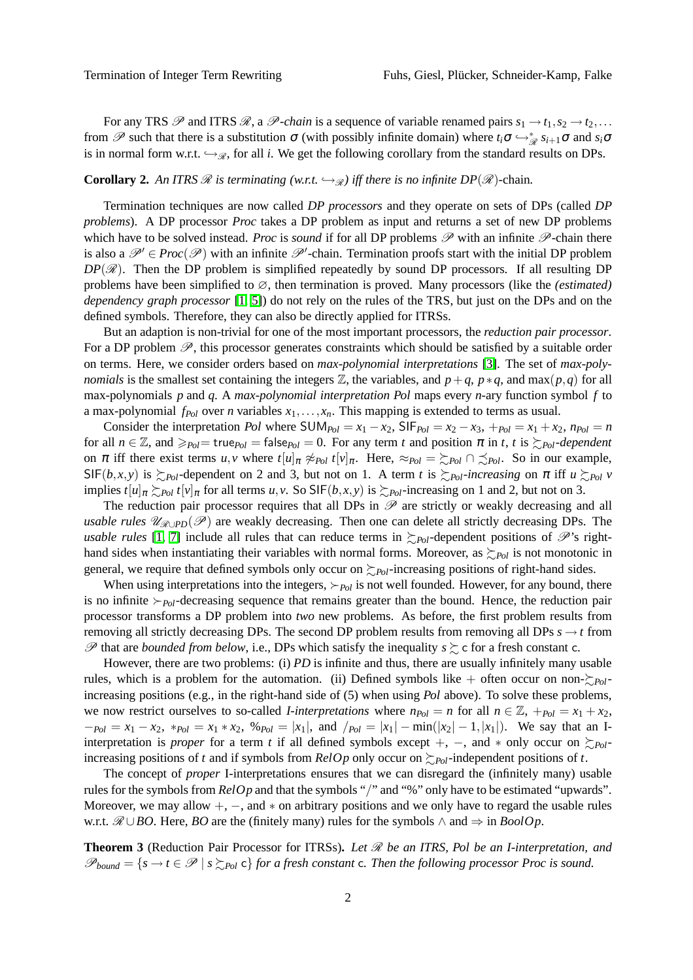For any TRS  $\mathscr P$  and ITRS  $\mathscr R$ , a  $\mathscr P$ -chain is a sequence of variable renamed pairs  $s_1 \to t_1, s_2 \to t_2, \ldots$ from  $\mathscr P$  such that there is a substitution  $\sigma$  (with possibly infinite domain) where  $t_i \sigma \hookrightarrow_{\mathscr R}^* s_{i+1} \sigma$  and  $s_i \sigma$ is in normal form w.r.t.  $\hookrightarrow_{\mathscr{R}}$ , for all *i*. We get the following corollary from the standard results on DPs.

#### **Corollary 2.** An ITRS  $\mathcal{R}$  is terminating (w.r.t.  $\hookrightarrow_{\mathcal{R}}$ ) iff there is no infinite DP( $\mathcal{R}$ )-chain.

Termination techniques are now called *DP processors* and they operate on sets of DPs (called *DP problems*). A DP processor *Proc* takes a DP problem as input and returns a set of new DP problems which have to be solved instead. *Proc* is *sound* if for all DP problems  $\mathscr P$  with an infinite  $\mathscr P$ -chain there is also a  $\mathscr{P}' \in \text{Proc}(\mathscr{P})$  with an infinite  $\mathscr{P}'$ -chain. Termination proofs start with the initial DP problem  $DP(\mathscr{R})$ . Then the DP problem is simplified repeatedly by sound DP processors. If all resulting DP problems have been simplified to ∅, then termination is proved. Many processors (like the *(estimated) dependency graph processor* [\[1,](#page-3-2) [5\]](#page-3-3)) do not rely on the rules of the TRS, but just on the DPs and on the defined symbols. Therefore, they can also be directly applied for ITRSs.

But an adaption is non-trivial for one of the most important processors, the *reduction pair processor*. For a DP problem  $\mathscr{P}$ , this processor generates constraints which should be satisfied by a suitable order on terms. Here, we consider orders based on *max-polynomial interpretations* [\[3\]](#page-3-6). The set of *max-polynomials* is the smallest set containing the integers  $\mathbb{Z}$ , the variables, and  $p+q$ ,  $p*q$ , and max $(p,q)$  for all max-polynomials *p* and *q*. A *max-polynomial interpretation Pol* maps every *n*-ary function symbol *f* to a max-polynomial *fPol* over *n* variables *x*1,...,*xn*. This mapping is extended to terms as usual.

Consider the interpretation *Pol* where  $SUM_{Pol} = x_1 - x_2$ ,  $SIF_{Pol} = x_2 - x_3$ ,  $+_{Pol} = x_1 + x_2$ ,  $n_{Pol} = n$ for all  $n \in \mathbb{Z}$ , and  $\geq_{Pol}$  = true $_{Pol}$  = false $_{Pol}$  = 0. For any term *t* and position  $\pi$  in *t*, *t* is  $\geq_{Pol}$ -dependent on  $\pi$  iff there exist terms  $u, v$  where  $t[u]_{\pi} \not\approx_{Pol} t[v]_{\pi}$ . Here,  $\approx_{Pol} = \sum_{Pol} \cap \sum_{Pol}$ . So in our example,  $SIF(b,x,y)$  is  $\sum_{Pol}$ -dependent on 2 and 3, but not on 1. A term *t* is  $\sum_{Pol}$ *-increasing* on  $\pi$  iff  $u \sum_{Pol} v$ implies  $t[u]_{\pi} \succeq_{Pol} t[v]_{\pi}$  for all terms  $u, v$ . So SIF( $b, x, y$ ) is  $\succeq_{Pol}$ -increasing on 1 and 2, but not on 3.

The reduction pair processor requires that all DPs in  $\mathscr P$  are strictly or weakly decreasing and all *usable rules*  $\mathcal{U}_{\mathcal{R}\cup PD}(\mathcal{P})$  are weakly decreasing. Then one can delete all strictly decreasing DPs. The *usable rules* [\[1,](#page-3-2) [7\]](#page-3-4) include all rules that can reduce terms in  $\sum_{P\circ I}$ -dependent positions of  $\mathscr{P}$ 's righthand sides when instantiating their variables with normal forms. Moreover, as  $\sum_{Pol}$  is not monotonic in general, we require that defined symbols only occur on  $\sum_{Pol}$ -increasing positions of right-hand sides.

When using interpretations into the integers, ≻*Pol* is not well founded. However, for any bound, there is no infinite ≻*Pol*-decreasing sequence that remains greater than the bound. Hence, the reduction pair processor transforms a DP problem into *two* new problems. As before, the first problem results from removing all strictly decreasing DPs. The second DP problem results from removing all DPs  $s \rightarrow t$  from  $\mathscr P$  that are *bounded from below*, i.e., DPs which satisfy the inequality  $s \succeq c$  for a fresh constant c.

However, there are two problems: (i) *PD* is infinite and thus, there are usually infinitely many usable rules, which is a problem for the automation. (ii) Defined symbols like  $+$  often occur on non- $\succsim_{Pol}$ increasing positions (e.g., in the right-hand side of (5) when using *Pol* above). To solve these problems, we now restrict ourselves to so-called *I-interpretations* where  $n_{Pol} = n$  for all  $n \in \mathbb{Z}$ ,  $+_{Pol} = x_1 + x_2$ ,  $-p_{ol} = x_1 - x_2$ , \* $p_{ol} = x_1 * x_2$ , % $p_{ol} = |x_1|$ , and  $/p_{ol} = |x_1| - \min(|x_2| - 1, |x_1|)$ . We say that an Iinterpretation is *proper* for a term *t* if all defined symbols except +, −, and  $*$  only occur on  $\succeq_{Pol}$ increasing positions of *t* and if symbols from *RelOp* only occur on  $\succsim_{Pol}$ -independent positions of *t*.

The concept of *proper* I-interpretations ensures that we can disregard the (infinitely many) usable rules for the symbols from *RelOp* and that the symbols "/" and "%" only have to be estimated "upwards". Moreover, we may allow  $+$ ,  $-$ , and  $*$  on arbitrary positions and we only have to regard the usable rules w.r.t.  $\mathcal{R} \cup BO$ . Here, *BO* are the (finitely many) rules for the symbols ∧ and  $\Rightarrow$  in *BoolOp*.

<span id="page-1-0"></span>**Theorem 3** (Reduction Pair Processor for ITRSs)**.** *Let* R *be an ITRS, Pol be an I-interpretation, and*  $\mathscr{P}_{bound} = \{s \to t \in \mathscr{P} \mid s \succsim_{Pol} c\}$  for a fresh constant c. Then the following processor Proc is sound.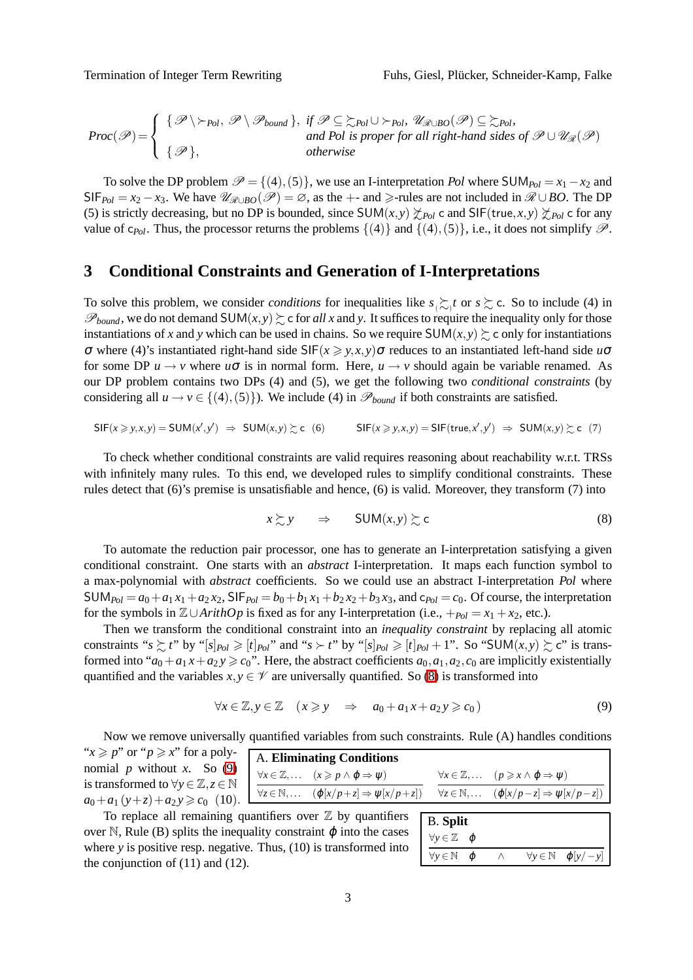*Proc*(P)= {P \≻*Pol*, P \P*bound* }, *if* P ⊆ %*Pol* ∪ ≻*Pol,* UR∪*BO*(P) ⊆ %*Pol, and Pol is proper for all right-hand sides of* P ∪ UR(P) {P }, *otherwise*

To solve the DP problem  $\mathcal{P} = \{(4), (5)\}\)$ , we use an I-interpretation *Pol* where SUM<sub>Pol</sub> =  $x_1 - x_2$  and  $SIF_{Pol} = x_2 - x_3$ . We have  $\mathcal{U}_{\mathcal{R} \cup BO}(\mathcal{P}) = \emptyset$ , as the +- and  $\geq$ -rules are not included in  $\mathcal{R} \cup BO$ . The DP (5) is strictly decreasing, but no DP is bounded, since SUM $(x, y) \not\geq_{Pol} c$  and SIF(true, $x, y \not\geq_{Pol} c$  for any value of c<sub>*Pol*</sub>. Thus, the processor returns the problems  $\{(4)\}\$  and  $\{(4),(5)\}\$ , i.e., it does not simplify  $\mathscr{P}$ .

### <span id="page-2-0"></span>**3 Conditional Constraints and Generation of I-Interpretations**

To solve this problem, we consider *conditions* for inequalities like  $s \gtrsim t$  or  $s \gtrsim c$ . So to include (4) in  $\mathscr{P}_{bound}$ , we do not demand SUM $(x, y) \ge c$  for *all x* and y. It suffices to require the inequality only for those instantiations of *x* and *y* which can be used in chains. So we require  $SUM(x, y) \succeq c$  only for instantiations <sup>σ</sup> where (4)'s instantiated right-hand side SIF(*x* > *y*,*x*,*y*)<sup>σ</sup> reduces to an instantiated left-hand side *u*<sup>σ</sup> for some DP  $u \rightarrow v$  where  $u\sigma$  is in normal form. Here,  $u \rightarrow v$  should again be variable renamed. As our DP problem contains two DPs (4) and (5), we get the following two *conditional constraints* (by considering all  $u \rightarrow v \in \{(4), (5)\}\)$ . We include (4) in  $\mathcal{P}_{bound}$  if both constraints are satisfied.

$$
\mathsf{SIF}(x \geq y, x, y) = \mathsf{SUM}(x', y') \implies \mathsf{SUM}(x, y) \geq c \quad (6) \qquad \mathsf{SIF}(x \geq y, x, y) = \mathsf{SIF}(\mathsf{true}, x', y') \implies \mathsf{SUM}(x, y) \geq c \quad (7)
$$

To check whether conditional constraints are valid requires reasoning about reachability w.r.t. TRSs with infinitely many rules. To this end, we developed rules to simplify conditional constraints. These rules detect that (6)'s premise is unsatisfiable and hence, (6) is valid. Moreover, they transform (7) into

<span id="page-2-1"></span>
$$
x \succsim y \qquad \Rightarrow \qquad \text{SUM}(x, y) \succsim c \tag{8}
$$

To automate the reduction pair processor, one has to generate an I-interpretation satisfying a given conditional constraint. One starts with an *abstract* I-interpretation. It maps each function symbol to a max-polynomial with *abstract* coefficients. So we could use an abstract I-interpretation *Pol* where  $SUM_{Pol} = a_0 + a_1 x_1 + a_2 x_2$ ,  $SIF_{Pol} = b_0 + b_1 x_1 + b_2 x_2 + b_3 x_3$ , and  $c_{Pol} = c_0$ . Of course, the interpretation for the symbols in  $\mathbb{Z}\cup$ *ArithOp* is fixed as for any I-interpretation (i.e., +*Pol* = *x*<sub>1</sub> + *x*<sub>2</sub>, etc.).

Then we transform the conditional constraint into an *inequality constraint* by replacing all atomic constraints " $s \succsim t$ " by "[ $s$ ] $_{Pol} \geq [t]_{Pol}$ " and " $s \succ t$ " by "[ $s$ ] $_{Pol} \geq [t]_{Pol} + 1$ ". So "SUM $(x, y) \succsim c$ " is transformed into " $a_0 + a_1 x + a_2 y \ge c_0$ ". Here, the abstract coefficients  $a_0, a_1, a_2, c_0$  are implicitly existentially quantified and the variables  $x, y \in \mathcal{V}$  are universally quantified. So [\(8\)](#page-2-1) is transformed into

$$
\forall x \in \mathbb{Z}, y \in \mathbb{Z} \quad (x \geqslant y \quad \Rightarrow \quad a_0 + a_1 x + a_2 y \geqslant c_0)
$$
\n
$$
(9)
$$

Now we remove universally quantified variables from such constraints. Rule (A) handles conditions A. **Eliminating Conditions**  $\forall x \in \mathbb{Z}, \ldots$  (*x* ≥ *p* ∧  $\varphi$  ⇒  $\psi$ )  $\forall z \in \mathbb{N}, \ldots$   $(\varphi[x/p+z] \Rightarrow \psi[x/p+z])$  $\forall x \in \mathbb{Z}, \ldots$  (*p* ≥ *x* ∧  $\varphi$  ⇒  $\psi$ )  $\forall z \in \mathbb{N}, \ldots$  ( $\varphi[x/p-z] \Rightarrow \psi[x/p-z]$ ) " $x \geq p$ " or " $p \geq x$ " for a polynomial  $p$  without  $x$ . So [\(9\)](#page-2-2) is transformed to  $\forall y \in \mathbb{Z}, z \in \mathbb{N}$  $a_0 + a_1 (y+z) + a_2 y \geq c_0$  (10).

To replace all remaining quantifiers over  $\mathbb Z$  by quantifiers over N, Rule (B) splits the inequality constraint  $\varphi$  into the cases where *y* is positive resp. negative. Thus, (10) is transformed into the conjunction of (11) and (12).

<span id="page-2-2"></span>

| <b>B.</b> Split                                       |  |          |  |                                              |
|-------------------------------------------------------|--|----------|--|----------------------------------------------|
| $\forall v \in \mathbb{Z} \quad \boldsymbol{\varphi}$ |  |          |  |                                              |
| $\forall y \in \mathbb{N}$ $\varphi$                  |  | $\wedge$ |  | $\forall y \in \mathbb{N}$ $\varphi[y / -y]$ |